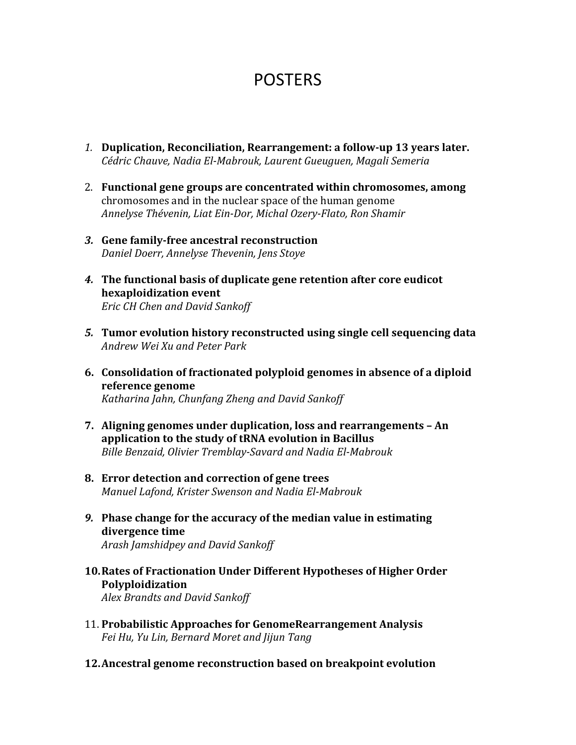## POSTERS

- *1.* **Duplication, Reconciliation, Rearrangement: a follow-up 13 years later.** *Cédric Chauve, Nadia El-Mabrouk, Laurent Gueuguen, Magali Semeria*
- 2. Functional gene groups are concentrated within chromosomes, among chromosomes and in the nuclear space of the human genome *Annelyse Thévenin, Liat Ein-Dor, Michal Ozery-Flato, Ron Shamir*
- *3.* **Gene family-free ancestral reconstruction** *Daniel Doerr, Annelyse Thevenin, Jens Stoye*
- **4.** The functional basis of duplicate gene retention after core eudicot **hexaploidization event** *Eric CH Chen and David Sankoff*
- **5.** Tumor evolution history reconstructed using single cell sequencing data *Andrew Wei Xu and Peter Park*
- **6.** Consolidation of fractionated polyploid genomes in absence of a diploid **reference genome** *Katharina Jahn, Chunfang Zheng and David Sankoff*
- **7.** Aligning genomes under duplication, loss and rearrangements An application to the study of tRNA evolution in Bacillus *Bille Benzaid, Olivier Tremblay-Savard and Nadia El-Mabrouk*
- **8. Error detection and correction of gene trees** *Manuel Lafond, Krister Swenson and Nadia El-Mabrouk*
- **9.** Phase change for the accuracy of the median value in estimating **divergence time**

*Arash Jamshidpey and David Sankoff*

**10. Rates of Fractionation Under Different Hypotheses of Higher Order Polyploidization** *Alex Brandts and David Sankoff*

- 11. Probabilistic Approaches for GenomeRearrangement Analysis *Fei Hu, Yu Lin, Bernard Moret and Jijun Tang*
- **12. Ancestral genome reconstruction based on breakpoint evolution**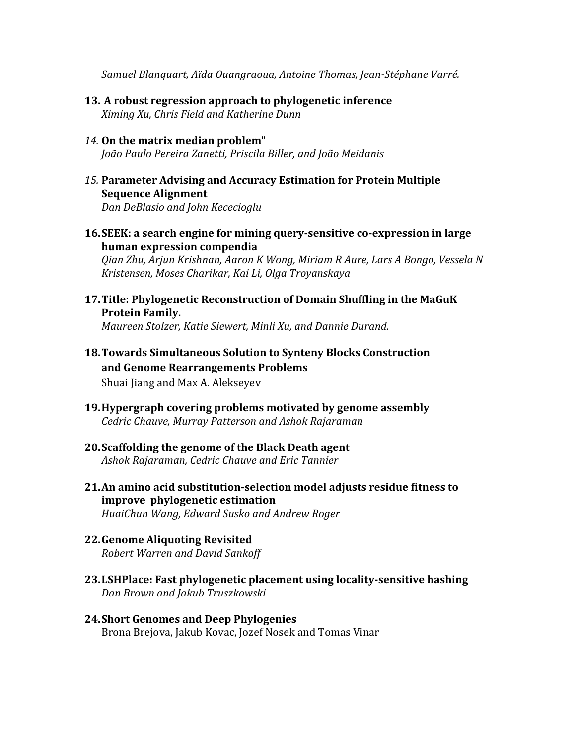*Samuel Blanquart, Aïda Ouangraoua, Antoine Thomas, Jean-Stéphane Varré.*

- **13.** A robust regression approach to phylogenetic inference *Ximing Xu, Chris Field and Katherine Dunn*
- 14. On the matrix median problem" *João Paulo Pereira Zanetti, Priscila Biller, and João Meidanis*
- 15. Parameter Advising and Accuracy Estimation for Protein Multiple **Sequence Alignment**

*Dan DeBlasio and John Kececioglu*

**16. SEEK: a search engine for mining query-sensitive co-expression in large human expression compendia**

*Qian Zhu, Arjun Krishnan, Aaron K Wong, Miriam R Aure, Lars A Bongo, Vessela N Kristensen, Moses Charikar, Kai Li, Olga Troyanskaya*

**17. Title: Phylogenetic Reconstruction of Domain Shuffling in the MaGuK Protein Family.**

*Maureen Stolzer, Katie Siewert, Minli Xu, and Dannie Durand.* 

**18. Towards Simultaneous Solution to Synteny Blocks Construction** and Genome Rearrangements Problems

Shuai Jiang and Max A. Alekseyev

- **19. Hypergraph covering problems motivated by genome assembly** *Cedric Chauve, Murray Patterson and Ashok Rajaraman*
- **20. Scaffolding the genome of the Black Death agent** *Ashok Rajaraman, Cedric Chauve and Eric Tannier*
- **21.An amino acid substitution-selection model adjusts residue fitness to improve phylogenetic estimation** *HuaiChun Wang, Edward Susko and Andrew Roger*
- **22.Genome Aliquoting Revisited** *Robert Warren and David Sankoff*
- **23.LSHPlace:** Fast phylogenetic placement using locality-sensitive hashing *Dan Brown and Jakub Truszkowski*
- **24.Short Genomes and Deep Phylogenies** Brona Brejova, Jakub Kovac, Jozef Nosek and Tomas Vinar